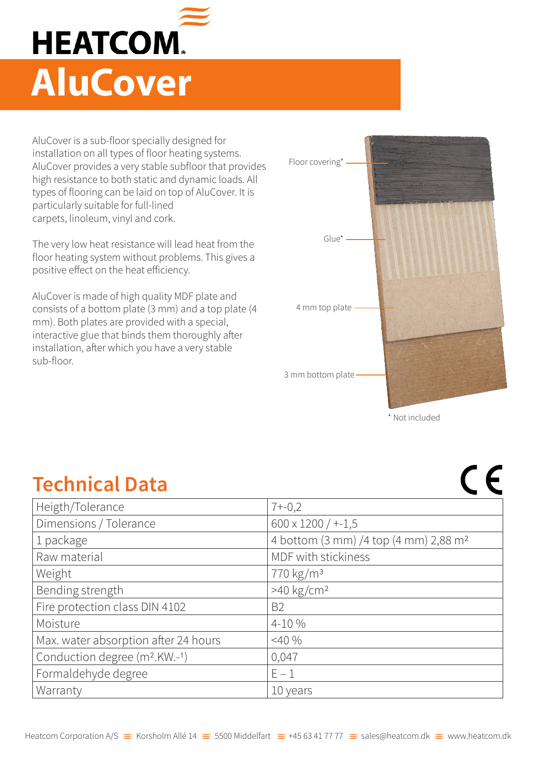

AluCover is a sub-floor specially designed for installation on all types of floor heating systems. AluCover provides a very stable subfloor that provides high resistance to both static and dynamic loads. All types of flooring can be laid on top of AluCover. It is particularly suitable for full-lined carpets, linoleum, vinyl and cork.

The very low heat resistance will lead heat from the floor heating system without problems. This gives a positive effect on the heat efficiency.

AluCover is made of high quality MDF plate and consists of a bottom plate (3 mm) and a top plate (4 mm). Both plates are provided with a special, interactive glue that binds them thoroughly after installation, after which you have a very stable sub-floor.



\* Not included

| <b>Technical Data</b>                     |                                                   |
|-------------------------------------------|---------------------------------------------------|
| Heigth/Tolerance                          | $7 + -0,2$                                        |
| Dimensions / Tolerance                    | $600 \times 1200$ / $+-1,5$                       |
| 1 package                                 | 4 bottom (3 mm) /4 top (4 mm) 2,88 m <sup>2</sup> |
| Raw material                              | MDF with stickiness                               |
| Weight                                    | 770 kg/m <sup>3</sup>                             |
| Bending strength                          | $>40$ kg/cm <sup>2</sup>                          |
| Fire protection class DIN 4102            | <b>B2</b>                                         |
| Moisture                                  | 4-10 %                                            |
| Max. water absorption after 24 hours      | $<$ 40 %                                          |
| Conduction degree (m <sup>2</sup> .KW.-1) | 0,047                                             |
| Formaldehyde degree                       | $E - 1$                                           |
| Warranty                                  | 10 years                                          |
|                                           |                                                   |

## **Technical Data**